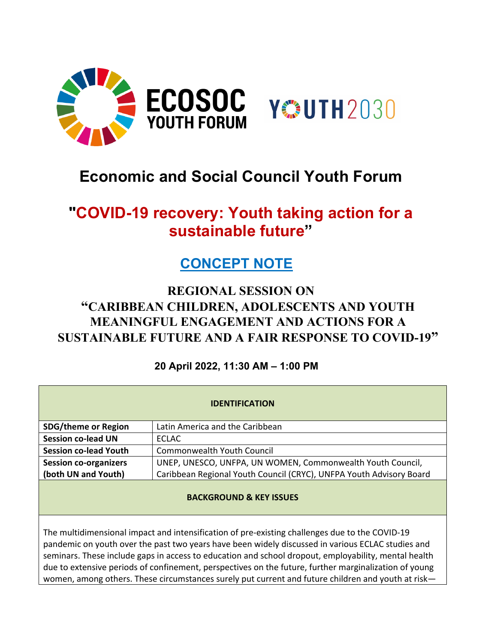

# **Economic and Social Council Youth Forum**

# **"COVID-19 recovery: Youth taking action for a sustainable future"**

## **CONCEPT NOTE**

## **REGIONAL SESSION ON "CARIBBEAN CHILDREN, ADOLESCENTS AND YOUTH MEANINGFUL ENGAGEMENT AND ACTIONS FOR A SUSTAINABLE FUTURE AND A FAIR RESPONSE TO COVID-19"**

## **20 April 2022, 11:30 AM – 1:00 PM**

| <b>IDENTIFICATION</b>        |                                                                     |  |  |
|------------------------------|---------------------------------------------------------------------|--|--|
| <b>SDG/theme or Region</b>   | Latin America and the Caribbean                                     |  |  |
| <b>Session co-lead UN</b>    | <b>ECLAC</b>                                                        |  |  |
| <b>Session co-lead Youth</b> | Commonwealth Youth Council                                          |  |  |
| <b>Session co-organizers</b> | UNEP, UNESCO, UNFPA, UN WOMEN, Commonwealth Youth Council,          |  |  |
| (both UN and Youth)          | Caribbean Regional Youth Council (CRYC), UNFPA Youth Advisory Board |  |  |
|                              |                                                                     |  |  |

## **BACKGROUND & KEY ISSUES**

The multidimensional impact and intensification of pre-existing challenges due to the COVID-19 pandemic on youth over the past two years have been widely discussed in various ECLAC studies and seminars. These include gaps in access to education and school dropout, employability, mental health due to extensive periods of confinement, perspectives on the future, further marginalization of young women, among others. These circumstances surely put current and future children and youth at risk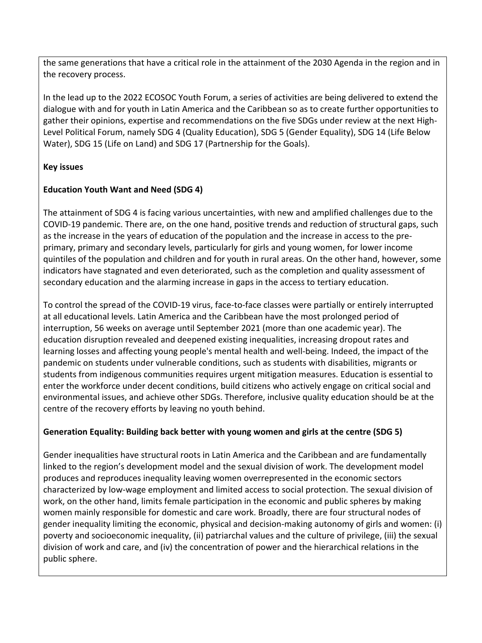the same generations that have a critical role in the attainment of the 2030 Agenda in the region and in the recovery process.

In the lead up to the 2022 ECOSOC Youth Forum, a series of activities are being delivered to extend the dialogue with and for youth in Latin America and the Caribbean so as to create further opportunities to gather their opinions, expertise and recommendations on the five SDGs under review at the next High-Level Political Forum, namely SDG 4 (Quality Education), SDG 5 (Gender Equality), SDG 14 (Life Below Water), SDG 15 (Life on Land) and SDG 17 (Partnership for the Goals).

## **Key issues**

## **Education Youth Want and Need (SDG 4)**

The attainment of SDG 4 is facing various uncertainties, with new and amplified challenges due to the COVID-19 pandemic. There are, on the one hand, positive trends and reduction of structural gaps, such as the increase in the years of education of the population and the increase in access to the preprimary, primary and secondary levels, particularly for girls and young women, for lower income quintiles of the population and children and for youth in rural areas. On the other hand, however, some indicators have stagnated and even deteriorated, such as the completion and quality assessment of secondary education and the alarming increase in gaps in the access to tertiary education.

To control the spread of the COVID-19 virus, face-to-face classes were partially or entirely interrupted at all educational levels. Latin America and the Caribbean have the most prolonged period of interruption, 56 weeks on average until September 2021 (more than one academic year). The education disruption revealed and deepened existing inequalities, increasing dropout rates and learning losses and affecting young people's mental health and well-being. Indeed, the impact of the pandemic on students under vulnerable conditions, such as students with disabilities, migrants or students from indigenous communities requires urgent mitigation measures. Education is essential to enter the workforce under decent conditions, build citizens who actively engage on critical social and environmental issues, and achieve other SDGs. Therefore, inclusive quality education should be at the centre of the recovery efforts by leaving no youth behind.

## **Generation Equality: Building back better with young women and girls at the centre (SDG 5)**

Gender inequalities have structural roots in Latin America and the Caribbean and are fundamentally linked to the region's development model and the sexual division of work. The development model produces and reproduces inequality leaving women overrepresented in the economic sectors characterized by low-wage employment and limited access to social protection. The sexual division of work, on the other hand, limits female participation in the economic and public spheres by making women mainly responsible for domestic and care work. Broadly, there are four structural nodes of gender inequality limiting the economic, physical and decision-making autonomy of girls and women: (i) poverty and socioeconomic inequality, (ii) patriarchal values and the culture of privilege, (iii) the sexual division of work and care, and (iv) the concentration of power and the hierarchical relations in the public sphere.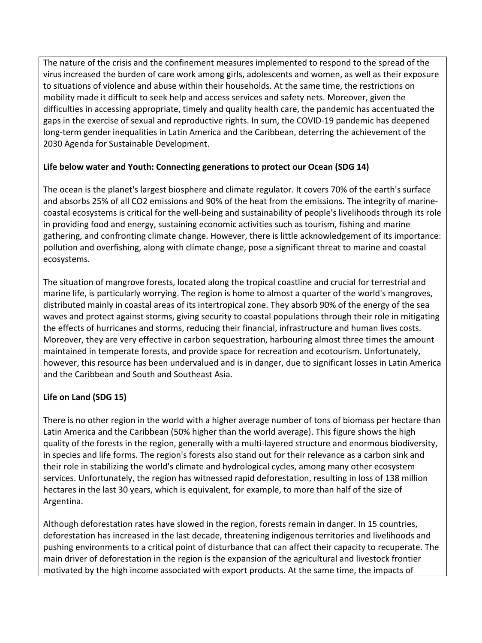The nature of the crisis and the confinement measures implemented to respond to the spread of the virus increased the burden of care work among girls, adolescents and women, as well as their exposure to situations of violence and abuse within their households. At the same time, the restrictions on mobility made it difficult to seek help and access services and safety nets. Moreover, given the difficulties in accessing appropriate, timely and quality health care, the pandemic has accentuated the gaps in the exercise of sexual and reproductive rights. In sum, the COVID-19 pandemic has deepened long-term gender inequalities in Latin America and the Caribbean, deterring the achievement of the 2030 Agenda for Sustainable Development.

## **Life below water and Youth: Connecting generations to protect our Ocean (SDG 14)**

The ocean is the planet's largest biosphere and climate regulator. It covers 70% of the earth's surface and absorbs 25% of all CO2 emissions and 90% of the heat from the emissions. The integrity of marinecoastal ecosystems is critical for the well-being and sustainability of people's livelihoods through its role in providing food and energy, sustaining economic activities such as tourism, fishing and marine gathering, and confronting climate change. However, there is little acknowledgement of its importance: pollution and overfishing, along with climate change, pose a significant threat to marine and coastal ecosystems.

The situation of mangrove forests, located along the tropical coastline and crucial for terrestrial and marine life, is particularly worrying. The region is home to almost a quarter of the world's mangroves, distributed mainly in coastal areas of its intertropical zone. They absorb 90% of the energy of the sea waves and protect against storms, giving security to coastal populations through their role in mitigating the effects of hurricanes and storms, reducing their financial, infrastructure and human lives costs. Moreover, they are very effective in carbon sequestration, harbouring almost three times the amount maintained in temperate forests, and provide space for recreation and ecotourism. Unfortunately, however, this resource has been undervalued and is in danger, due to significant losses in Latin America and the Caribbean and South and Southeast Asia.

## **Life on Land (SDG 15)**

There is no other region in the world with a higher average number of tons of biomass per hectare than Latin America and the Caribbean (50% higher than the world average). This figure shows the high quality of the forests in the region, generally with a multi-layered structure and enormous biodiversity, in species and life forms. The region's forests also stand out for their relevance as a carbon sink and their role in stabilizing the world's climate and hydrological cycles, among many other ecosystem services. Unfortunately, the region has witnessed rapid deforestation, resulting in loss of 138 million hectares in the last 30 years, which is equivalent, for example, to more than half of the size of Argentina.

Although deforestation rates have slowed in the region, forests remain in danger. In 15 countries, deforestation has increased in the last decade, threatening indigenous territories and livelihoods and pushing environments to a critical point of disturbance that can affect their capacity to recuperate. The main driver of deforestation in the region is the expansion of the agricultural and livestock frontier motivated by the high income associated with export products. At the same time, the impacts of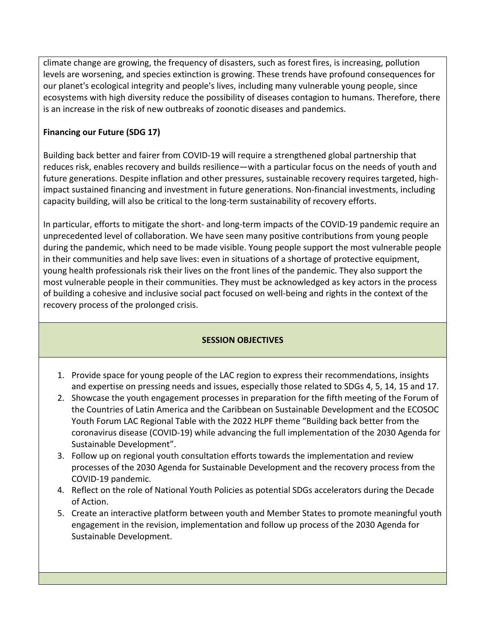climate change are growing, the frequency of disasters, such as forest fires, is increasing, pollution levels are worsening, and species extinction is growing. These trends have profound consequences for our planet's ecological integrity and people's lives, including many vulnerable young people, since ecosystems with high diversity reduce the possibility of diseases contagion to humans. Therefore, there is an increase in the risk of new outbreaks of zoonotic diseases and pandemics.

## **Financing our Future (SDG 17)**

Building back better and fairer from COVID-19 will require a strengthened global partnership that reduces risk, enables recovery and builds resilience—with a particular focus on the needs of youth and future generations. Despite inflation and other pressures, sustainable recovery requires targeted, highimpact sustained financing and investment in future generations. Non-financial investments, including capacity building, will also be critical to the long-term sustainability of recovery efforts.

In particular, efforts to mitigate the short- and long-term impacts of the COVID-19 pandemic require an unprecedented level of collaboration. We have seen many positive contributions from young people during the pandemic, which need to be made visible. Young people support the most vulnerable people in their communities and help save lives: even in situations of a shortage of protective equipment, young health professionals risk their lives on the front lines of the pandemic. They also support the most vulnerable people in their communities. They must be acknowledged as key actors in the process of building a cohesive and inclusive social pact focused on well-being and rights in the context of the recovery process of the prolonged crisis.

## **SESSION OBJECTIVES**

- 1. Provide space for young people of the LAC region to express their recommendations, insights and expertise on pressing needs and issues, especially those related to SDGs 4, 5, 14, 15 and 17.
- 2. Showcase the youth engagement processes in preparation for the fifth meeting of the Forum of the Countries of Latin America and the Caribbean on Sustainable Development and the ECOSOC Youth Forum LAC Regional Table with the 2022 HLPF theme "Building back better from the coronavirus disease (COVID-19) while advancing the full implementation of the 2030 Agenda for Sustainable Development".
- 3. Follow up on regional youth consultation efforts towards the implementation and review processes of the 2030 Agenda for Sustainable Development and the recovery process from the COVID-19 pandemic.
- 4. Reflect on the role of National Youth Policies as potential SDGs accelerators during the Decade of Action.
- 5. Create an interactive platform between youth and Member States to promote meaningful youth engagement in the revision, implementation and follow up process of the 2030 Agenda for Sustainable Development.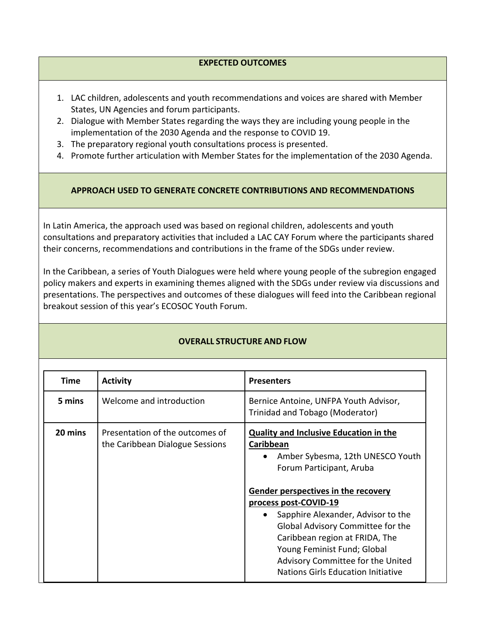#### **EXPECTED OUTCOMES**

- 1. LAC children, adolescents and youth recommendations and voices are shared with Member States, UN Agencies and forum participants.
- 2. Dialogue with Member States regarding the ways they are including young people in the implementation of the 2030 Agenda and the response to COVID 19.
- 3. The preparatory regional youth consultations process is presented.
- 4. Promote further articulation with Member States for the implementation of the 2030 Agenda.

#### **APPROACH USED TO GENERATE CONCRETE CONTRIBUTIONS AND RECOMMENDATIONS**

In Latin America, the approach used was based on regional children, adolescents and youth consultations and preparatory activities that included a LAC CAY Forum where the participants shared their concerns, recommendations and contributions in the frame of the SDGs under review.

In the Caribbean, a series of Youth Dialogues were held where young people of the subregion engaged policy makers and experts in examining themes aligned with the SDGs under review via discussions and presentations. The perspectives and outcomes of these dialogues will feed into the Caribbean regional breakout session of this year's ECOSOC Youth Forum.

| <b>Time</b> | <b>Activity</b>                                                    | <b>Presenters</b>                                                                                                                                                                                                                                                                                                                                                                                                                     |
|-------------|--------------------------------------------------------------------|---------------------------------------------------------------------------------------------------------------------------------------------------------------------------------------------------------------------------------------------------------------------------------------------------------------------------------------------------------------------------------------------------------------------------------------|
| 5 mins      | Welcome and introduction                                           | Bernice Antoine, UNFPA Youth Advisor,<br>Trinidad and Tobago (Moderator)                                                                                                                                                                                                                                                                                                                                                              |
| 20 mins     | Presentation of the outcomes of<br>the Caribbean Dialogue Sessions | <b>Quality and Inclusive Education in the</b><br>Caribbean<br>Amber Sybesma, 12th UNESCO Youth<br>Forum Participant, Aruba<br>Gender perspectives in the recovery<br>process post-COVID-19<br>Sapphire Alexander, Advisor to the<br>$\bullet$<br>Global Advisory Committee for the<br>Caribbean region at FRIDA, The<br>Young Feminist Fund; Global<br>Advisory Committee for the United<br><b>Nations Girls Education Initiative</b> |

## **OVERALL STRUCTURE AND FLOW**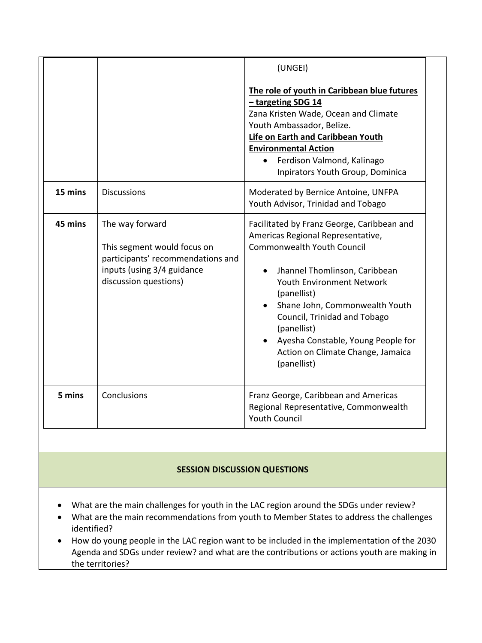|         |                                                                                                                                            | (UNGEI)<br>The role of youth in Caribbean blue futures<br>- targeting SDG 14<br>Zana Kristen Wade, Ocean and Climate<br>Youth Ambassador, Belize.<br>Life on Earth and Caribbean Youth<br><b>Environmental Action</b><br>Ferdison Valmond, Kalinago<br>Inpirators Youth Group, Dominica                                                                                             |
|---------|--------------------------------------------------------------------------------------------------------------------------------------------|-------------------------------------------------------------------------------------------------------------------------------------------------------------------------------------------------------------------------------------------------------------------------------------------------------------------------------------------------------------------------------------|
| 15 mins | <b>Discussions</b>                                                                                                                         | Moderated by Bernice Antoine, UNFPA<br>Youth Advisor, Trinidad and Tobago                                                                                                                                                                                                                                                                                                           |
| 45 mins | The way forward<br>This segment would focus on<br>participants' recommendations and<br>inputs (using 3/4 guidance<br>discussion questions) | Facilitated by Franz George, Caribbean and<br>Americas Regional Representative,<br><b>Commonwealth Youth Council</b><br>Jhannel Thomlinson, Caribbean<br><b>Youth Environment Network</b><br>(panellist)<br>Shane John, Commonwealth Youth<br>Council, Trinidad and Tobago<br>(panellist)<br>Ayesha Constable, Young People for<br>Action on Climate Change, Jamaica<br>(panellist) |
| 5 mins  | Conclusions                                                                                                                                | Franz George, Caribbean and Americas<br>Regional Representative, Commonwealth<br><b>Youth Council</b>                                                                                                                                                                                                                                                                               |

## **SESSION DISCUSSION QUESTIONS**

- What are the main challenges for youth in the LAC region around the SDGs under review?
- What are the main recommendations from youth to Member States to address the challenges identified?
- How do young people in the LAC region want to be included in the implementation of the 2030 Agenda and SDGs under review? and what are the contributions or actions youth are making in the territories?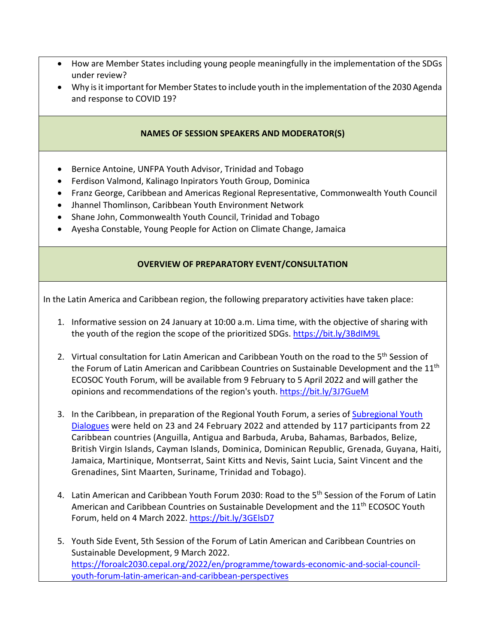- How are Member States including young people meaningfully in the implementation of the SDGs under review?
- Why is it important for Member States to include youth in the implementation of the 2030 Agenda and response to COVID 19?

#### **NAMES OF SESSION SPEAKERS AND MODERATOR(S)**

- Bernice Antoine, UNFPA Youth Advisor, Trinidad and Tobago
- Ferdison Valmond, Kalinago Inpirators Youth Group, Dominica
- Franz George, Caribbean and Americas Regional Representative, Commonwealth Youth Council
- Jhannel Thomlinson, Caribbean Youth Environment Network
- Shane John, Commonwealth Youth Council, Trinidad and Tobago
- Ayesha Constable, Young People for Action on Climate Change, Jamaica

#### **OVERVIEW OF PREPARATORY EVENT/CONSULTATION**

In the Latin America and Caribbean region, the following preparatory activities have taken place:

- 1. Informative session on 24 January at 10:00 a.m. Lima time, with the objective of sharing with the youth of the region the scope of the prioritized SDGs.<https://bit.ly/3BdIM9L>
- 2. Virtual consultation for Latin American and Caribbean Youth on the road to the 5<sup>th</sup> Session of the Forum of Latin American and Caribbean Countries on Sustainable Development and the 11<sup>th</sup> ECOSOC Youth Forum, will be available from 9 February to 5 April 2022 and will gather the opinions and recommendations of the region's youth.<https://bit.ly/3J7GueM>
- 3. In the Caribbean, in preparation of the Regional Youth Forum, a series of Subregional Youth [Dialogues](https://www.cepal.org/en/events/caribbean-youth-dialogues-2022-preparation-united-nations-economic-and-social-council-youth?utm_source=ECLAC&utm_campaign=Meetings,+Seminars+and+Workshops) were held on 23 and 24 February 2022 and attended by 117 participants from 22 Caribbean countries (Anguilla, Antigua and Barbuda, Aruba, Bahamas, Barbados, Belize, British Virgin Islands, Cayman Islands, Dominica, Dominican Republic, Grenada, Guyana, Haiti, Jamaica, Martinique, Montserrat, Saint Kitts and Nevis, Saint Lucia, Saint Vincent and the Grenadines, Sint Maarten, Suriname, Trinidad and Tobago).
- 4. Latin American and Caribbean Youth Forum 2030: Road to the 5<sup>th</sup> Session of the Forum of Latin American and Caribbean Countries on Sustainable Development and the 11th ECOSOC Youth Forum, held on 4 March 2022.<https://bit.ly/3GElsD7>
- 5. Youth Side Event, 5th Session of the Forum of Latin American and Caribbean Countries on Sustainable Development, 9 March 2022. [https://foroalc2030.cepal.org/2022/en/programme/towards-economic-and-social-council](https://foroalc2030.cepal.org/2022/en/programme/towards-economic-and-social-council-youth-forum-latin-american-and-caribbean-perspectives)[youth-forum-latin-american-and-caribbean-perspectives](https://foroalc2030.cepal.org/2022/en/programme/towards-economic-and-social-council-youth-forum-latin-american-and-caribbean-perspectives)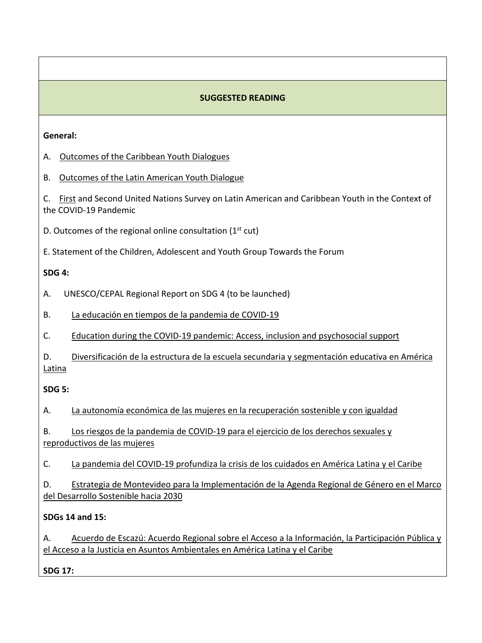## **SUGGESTED READING**

#### **General:**

- A. [Outcomes of the Caribbean Youth Dialogues](https://bit.ly/CaribbeanEYFBreakOutSession2022)
- B. [Outcomes of the Latin American Youth Dialogue](https://bit.ly/3jaUaL9)

C. [First](https://www.cepal.org/en/publications/46981-united-nations-survey-latin-american-and-caribbean-youth-within-context-covid-19) and Second United Nations Survey on Latin American and Caribbean Youth in the Context of the COVID-19 Pandemic

D. Outcomes of the regional online consultation  $(1<sup>st</sup> cut)$ 

E. Statement of the Children, Adolescent and Youth Group Towards the Forum

## **SDG 4:**

A. UNESCO/CEPAL Regional Report on SDG 4 (to be launched)

B. [La educación en tiempos de la pandemia de COVID-19](https://cepal.org/es/publicaciones/45904-la-educacion-tiempos-la-pandemia-covid-19)

C. [Education during the COVID-19 pandemic: Access, inclusion and psychosocial support](https://www.cepal.org/en/publications/47741-education-during-covid-19-pandemic-access-inclusion-and-psychosocial-support)

D. [Diversificación de la estructura de la escuela secundaria y segmentación educativa en América](https://cepal.org/es/publicaciones/47211-diversificacion-la-estructura-la-escuela-secundaria-segmentacion-educativa)  [Latina](https://cepal.org/es/publicaciones/47211-diversificacion-la-estructura-la-escuela-secundaria-segmentacion-educativa)

## **SDG 5:**

A. [La autonomía económica de las mujeres en la recuperación sostenible y con igualdad](https://cepal.org/es/publicaciones/46633-la-autonomia-economica-mujeres-la-recuperacion-sostenible-igualdad)

B. [Los riesgos de la pandemia de COVID-19 para el ejercicio de los derechos sexuales y](https://cepal.org/es/publicaciones/46483-riesgos-la-pandemia-covid-19-ejercicio-derechos-sexuales-reproductivos-mujeres)  [reproductivos de las mujeres](https://cepal.org/es/publicaciones/46483-riesgos-la-pandemia-covid-19-ejercicio-derechos-sexuales-reproductivos-mujeres)

C. [La pandemia del COVID-19 profundiza la crisis de los cuidados en América Latina y el Caribe](https://cepal.org/es/publicaciones/45335-la-pandemia-covid-19-profundiza-la-crisis-cuidados-america-latina-caribe)

D. [Estrategia de Montevideo para la Implementación de la Agenda Regional de Género en el Marco](https://cepal.org/es/publicaciones/41011-estrategia-montevideo-la-implementacion-la-agenda-regional-genero-marco)  [del Desarrollo Sostenible hacia 2030](https://cepal.org/es/publicaciones/41011-estrategia-montevideo-la-implementacion-la-agenda-regional-genero-marco)

## **SDGs 14 and 15:**

A. Acuerdo de Escazú: Acuerdo Regional sobre el Acceso a la Información, la Participación Pública y [el Acceso a la Justicia en Asuntos Ambientales en América Latina y el Caribe](https://cepal.org/es/publicaciones/43595-acuerdo-regional-acceso-la-informacion-la-participacion-publica-acceso-la)

**SDG 17:**